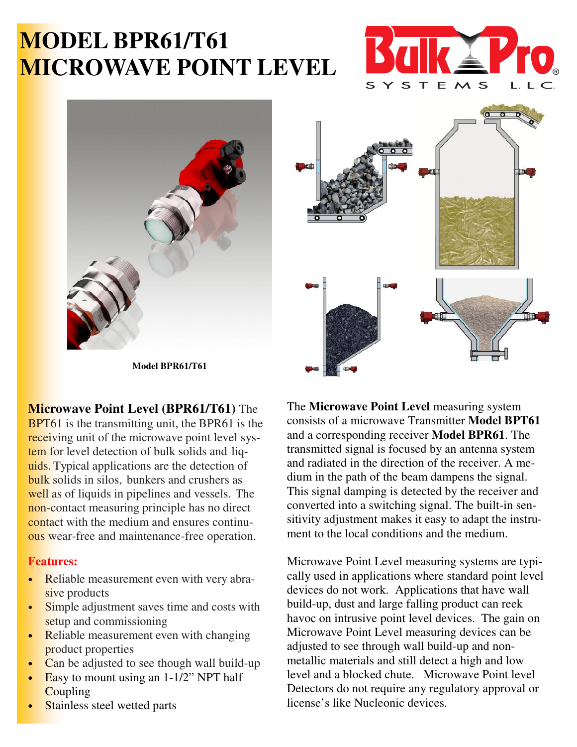# **MODEL BPR61/T61 MICROWAVE POINT LEVEL**







**Model BPR61/T61** 

## **Microwave Point Level (BPR61/T61)** The

BPT61 is the transmitting unit, the BPR61 is the receiving unit of the microwave point level system for level detection of bulk solids and liquids. Typical applications are the detection of bulk solids in silos, bunkers and crushers as well as of liquids in pipelines and vessels. The non-contact measuring principle has no direct contact with the medium and ensures continuous wear-free and maintenance-free operation.

#### **Features:**

- Reliable measurement even with very abrasive products
- Simple adjustment saves time and costs with setup and commissioning
- Reliable measurement even with changing product properties
- Can be adjusted to see though wall build-up
- Easy to mount using an  $1-1/2$ " NPT half **Coupling**
- Stainless steel wetted parts

The **Microwave Point Level** measuring system consists of a microwave Transmitter **Model BPT61**  and a corresponding receiver **Model BPR61**. The transmitted signal is focused by an antenna system and radiated in the direction of the receiver. A medium in the path of the beam dampens the signal. This signal damping is detected by the receiver and converted into a switching signal. The built-in sensitivity adjustment makes it easy to adapt the instrument to the local conditions and the medium.

Microwave Point Level measuring systems are typically used in applications where standard point level devices do not work. Applications that have wall build-up, dust and large falling product can reek havoc on intrusive point level devices. The gain on Microwave Point Level measuring devices can be adjusted to see through wall build-up and nonmetallic materials and still detect a high and low level and a blocked chute. Microwave Point level Detectors do not require any regulatory approval or license's like Nucleonic devices.